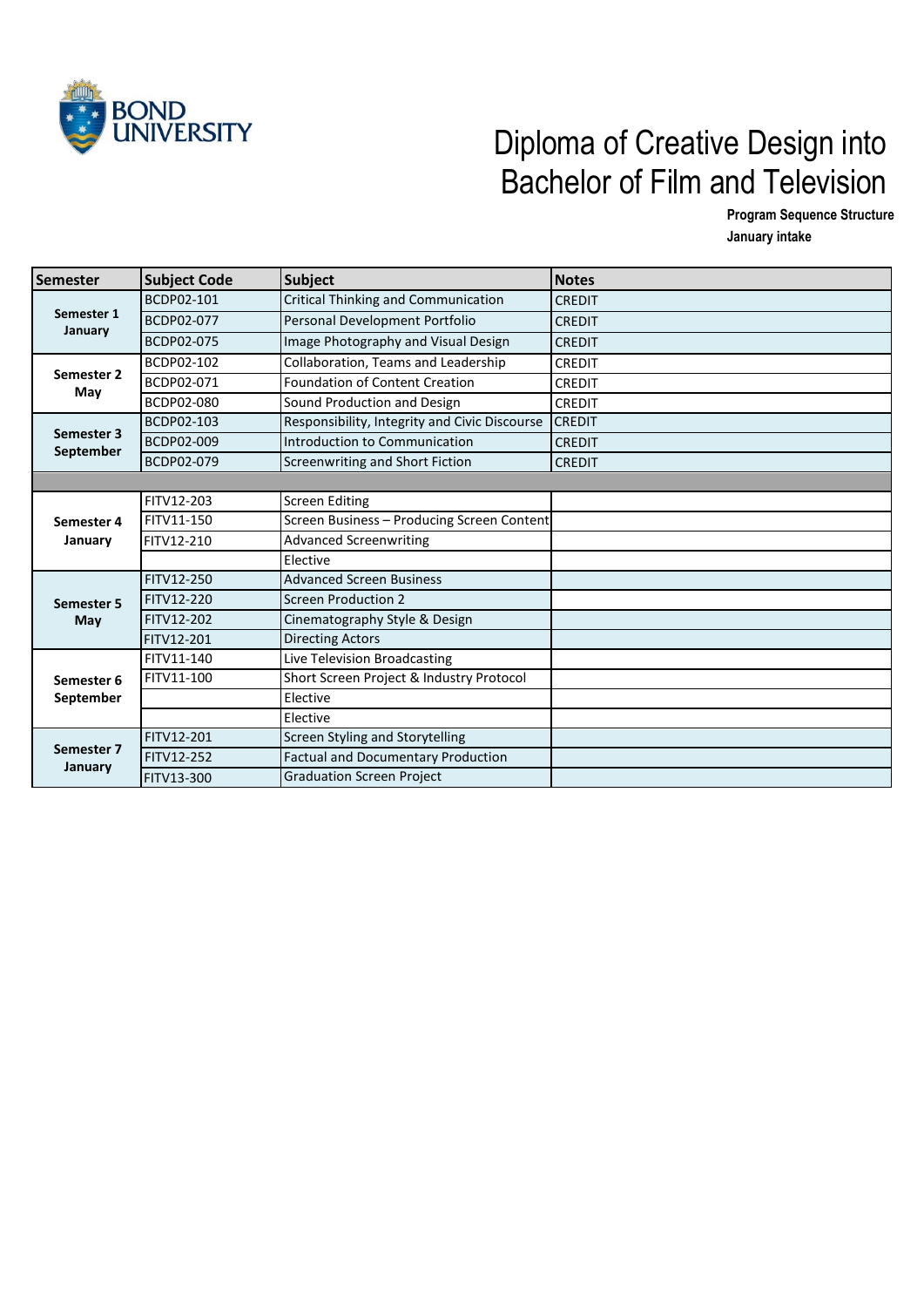

## JNIVERSITY<br>Diploma of Creative Design into Bachelor of Film and Television

**Program Sequence Structure**

**January intake** 

| <b>Semester</b>         | <b>Subject Code</b> | <b>Subject</b>                                | <b>Notes</b>  |
|-------------------------|---------------------|-----------------------------------------------|---------------|
| Semester 1<br>January   | BCDP02-101          | <b>Critical Thinking and Communication</b>    | <b>CREDIT</b> |
|                         | BCDP02-077          | Personal Development Portfolio                | <b>CREDIT</b> |
|                         | BCDP02-075          | Image Photography and Visual Design           | <b>CREDIT</b> |
| Semester 2<br>May       | BCDP02-102          | Collaboration, Teams and Leadership           | <b>CREDIT</b> |
|                         | BCDP02-071          | Foundation of Content Creation                | <b>CREDIT</b> |
|                         | BCDP02-080          | Sound Production and Design                   | <b>CREDIT</b> |
| Semester 3              | BCDP02-103          | Responsibility, Integrity and Civic Discourse | <b>CREDIT</b> |
|                         | BCDP02-009          | Introduction to Communication                 | <b>CREDIT</b> |
| September               | BCDP02-079          | Screenwriting and Short Fiction               | <b>CREDIT</b> |
|                         |                     |                                               |               |
|                         | FITV12-203          | <b>Screen Editing</b>                         |               |
| Semester 4<br>January   | FITV11-150          | Screen Business - Producing Screen Content    |               |
|                         | FITV12-210          | <b>Advanced Screenwriting</b>                 |               |
|                         |                     | Elective                                      |               |
|                         | FITV12-250          | <b>Advanced Screen Business</b>               |               |
| Semester 5              | FITV12-220          | <b>Screen Production 2</b>                    |               |
| May                     | FITV12-202          | Cinematography Style & Design                 |               |
|                         | <b>FITV12-201</b>   | <b>Directing Actors</b>                       |               |
| Semester 6<br>September | FITV11-140          | Live Television Broadcasting                  |               |
|                         | FITV11-100          | Short Screen Project & Industry Protocol      |               |
|                         |                     | Elective                                      |               |
|                         |                     | Elective                                      |               |
| Semester 7              | FITV12-201          | Screen Styling and Storytelling               |               |
| January                 | <b>FITV12-252</b>   | <b>Factual and Documentary Production</b>     |               |
|                         | <b>FITV13-300</b>   | <b>Graduation Screen Project</b>              |               |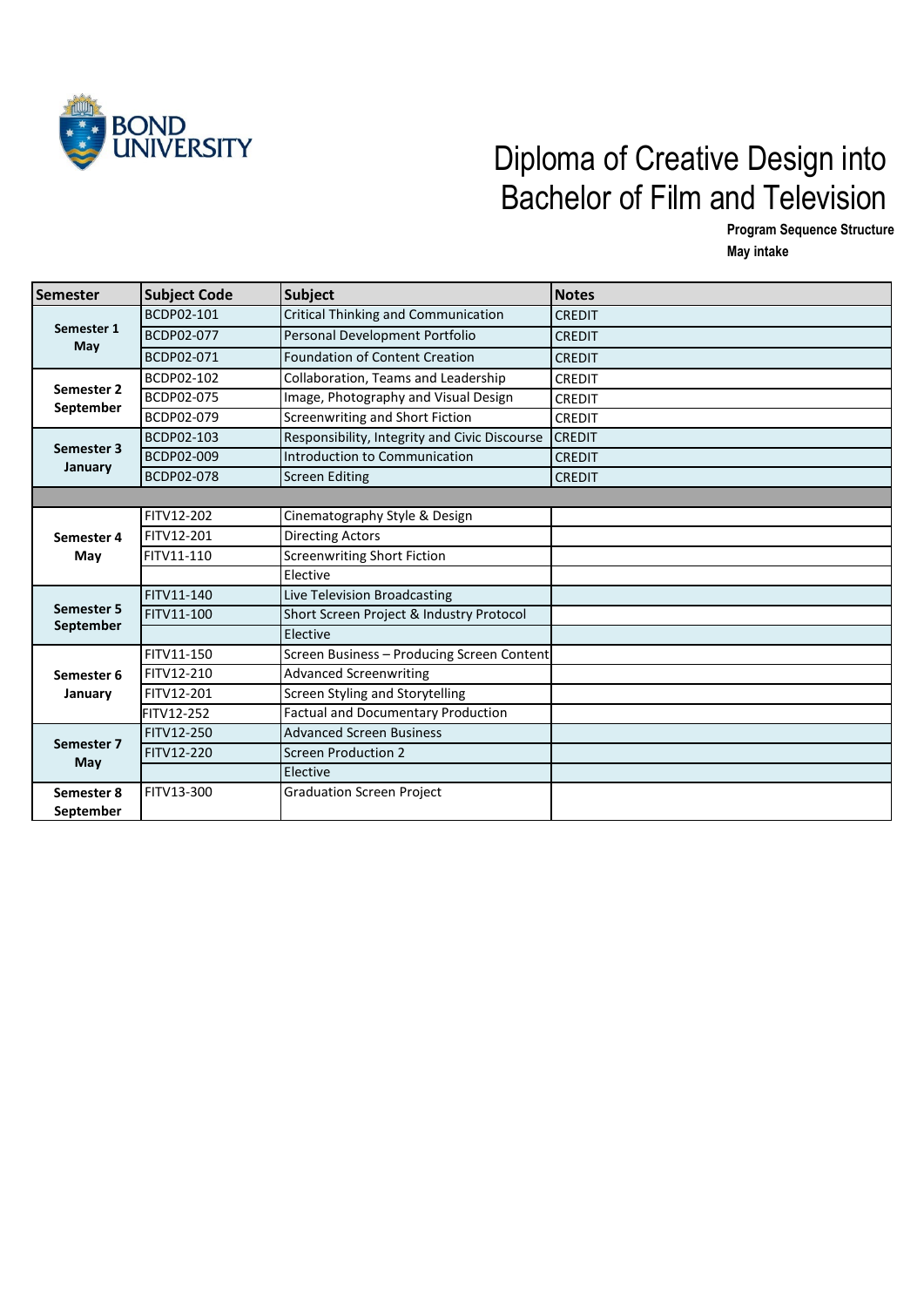

## BOND<br>UNIVERSITY Diploma of Creative Design into Bachelor of Film and Television

**Program Sequence Structure May intake** 

| Semester                | <b>Subject Code</b> | <b>Subject</b>                                | <b>Notes</b>  |
|-------------------------|---------------------|-----------------------------------------------|---------------|
| Semester 1<br>May       | BCDP02-101          | Critical Thinking and Communication           | <b>CREDIT</b> |
|                         | BCDP02-077          | Personal Development Portfolio                | <b>CREDIT</b> |
|                         | BCDP02-071          | <b>Foundation of Content Creation</b>         | <b>CREDIT</b> |
| Semester 2<br>September | BCDP02-102          | Collaboration, Teams and Leadership           | <b>CREDIT</b> |
|                         | BCDP02-075          | Image, Photography and Visual Design          | <b>CREDIT</b> |
|                         | BCDP02-079          | Screenwriting and Short Fiction               | <b>CREDIT</b> |
| Semester 3<br>January   | BCDP02-103          | Responsibility, Integrity and Civic Discourse | <b>CREDIT</b> |
|                         | BCDP02-009          | Introduction to Communication                 | <b>CREDIT</b> |
|                         | <b>BCDP02-078</b>   | <b>Screen Editing</b>                         | <b>CREDIT</b> |
|                         |                     |                                               |               |
|                         | FITV12-202          | Cinematography Style & Design                 |               |
| Semester 4              | FITV12-201          | <b>Directing Actors</b>                       |               |
| May                     | FITV11-110          | <b>Screenwriting Short Fiction</b>            |               |
|                         |                     | Elective                                      |               |
|                         | FITV11-140          | Live Television Broadcasting                  |               |
| Semester 5<br>September | FITV11-100          | Short Screen Project & Industry Protocol      |               |
|                         |                     | Elective                                      |               |
|                         | FITV11-150          | Screen Business - Producing Screen Content    |               |
| Semester 6              | FITV12-210          | <b>Advanced Screenwriting</b>                 |               |
| January                 | FITV12-201          | Screen Styling and Storytelling               |               |
|                         | <b>FITV12-252</b>   | <b>Factual and Documentary Production</b>     |               |
|                         | FITV12-250          | <b>Advanced Screen Business</b>               |               |
| Semester 7<br>May       | FITV12-220          | <b>Screen Production 2</b>                    |               |
|                         |                     | Elective                                      |               |
| Semester 8              | FITV13-300          | <b>Graduation Screen Project</b>              |               |
| September               |                     |                                               |               |